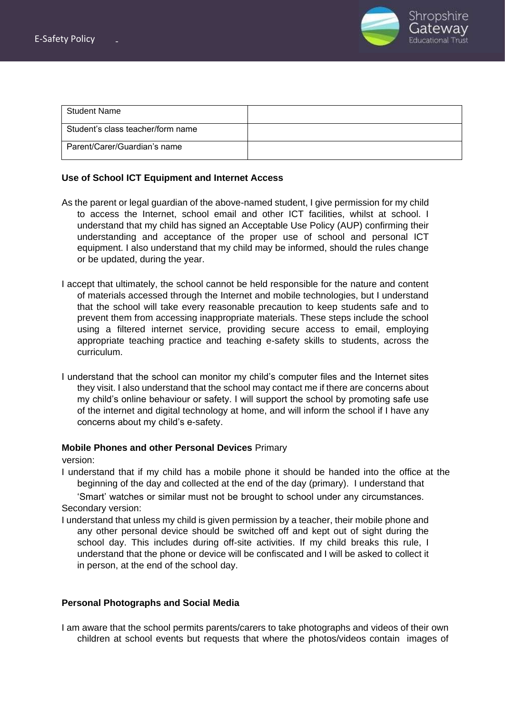

| <b>Student Name</b>               |  |
|-----------------------------------|--|
| Student's class teacher/form name |  |
| Parent/Carer/Guardian's name      |  |

## **Use of School ICT Equipment and Internet Access**

- As the parent or legal guardian of the above-named student, I give permission for my child to access the Internet, school email and other ICT facilities, whilst at school. I understand that my child has signed an Acceptable Use Policy (AUP) confirming their understanding and acceptance of the proper use of school and personal ICT equipment. I also understand that my child may be informed, should the rules change or be updated, during the year.
- I accept that ultimately, the school cannot be held responsible for the nature and content of materials accessed through the Internet and mobile technologies, but I understand that the school will take every reasonable precaution to keep students safe and to prevent them from accessing inappropriate materials. These steps include the school using a filtered internet service, providing secure access to email, employing appropriate teaching practice and teaching e-safety skills to students, across the curriculum.
- I understand that the school can monitor my child's computer files and the Internet sites they visit. I also understand that the school may contact me if there are concerns about my child's online behaviour or safety. I will support the school by promoting safe use of the internet and digital technology at home, and will inform the school if I have any concerns about my child's e-safety.

## **Mobile Phones and other Personal Devices** Primary

version:

I understand that if my child has a mobile phone it should be handed into the office at the beginning of the day and collected at the end of the day (primary). I understand that

'Smart' watches or similar must not be brought to school under any circumstances. Secondary version:

I understand that unless my child is given permission by a teacher, their mobile phone and any other personal device should be switched off and kept out of sight during the school day. This includes during off-site activities. If my child breaks this rule, I understand that the phone or device will be confiscated and I will be asked to collect it in person, at the end of the school day.

## **Personal Photographs and Social Media**

I am aware that the school permits parents/carers to take photographs and videos of their own children at school events but requests that where the photos/videos contain images of